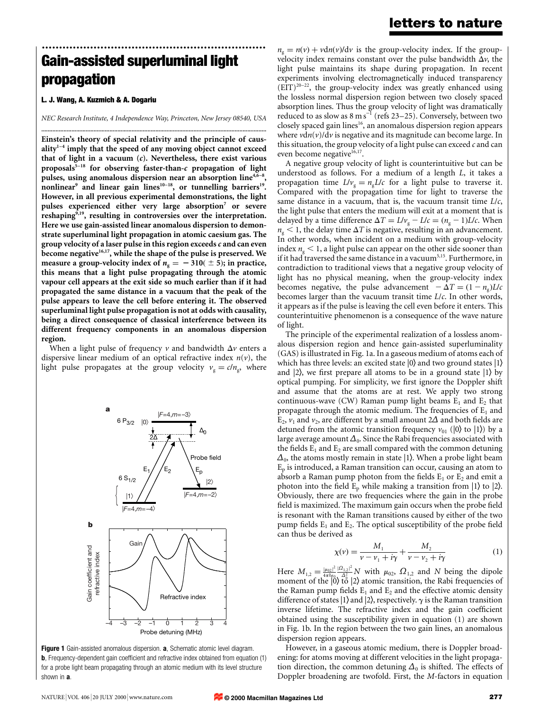# ................................................................. Gain-assisted superluminal light propagation

#### L. J. Wang, A. Kuzmich & A. Dogariu

NEC Research Institute, 4 Independence Way, Princeton, New Jersey 08540, USA ..............................................................................................................................................

Einstein's theory of special relativity and the principle of caus- $\text{ality}^{1-4}$  imply that the speed of any moving object cannot exceed that of light in a vacuum  $(c)$ . Nevertheless, there exist various proposals $5-18$  for observing faster-than-c propagation of light pulses, using anomalous dispersion near an absorption line<sup>4,6-</sup> nonlinear<sup>9</sup> and linear gain lines<sup>10-18</sup>, or tunnelling barriers<sup>19</sup>. However, in all previous experimental demonstrations, the light pulses experienced either very large absorption<sup>7</sup> or severe reshaping<sup>9,19</sup>, resulting in controversies over the interpretation. Here we use gain-assisted linear anomalous dispersion to demonstrate superluminal light propagation in atomic caesium gas. The group velocity of a laser pulse in this region exceeds  $c$  and can even become negative $16,17$ , while the shape of the pulse is preserved. We measure a group-velocity index of  $n_g = -310 (\pm 5)$ ; in practice, this means that a light pulse propagating through the atomic vapour cell appears at the exit side so much earlier than if it had propagated the same distance in a vacuum that the peak of the pulse appears to leave the cell before entering it. The observed superluminal light pulse propagation is not at odds with causality, being a direct consequence of classical interference between its different frequency components in an anomalous dispersion region.

When a light pulse of frequency  $\nu$  and bandwidth  $\Delta \nu$  enters a dispersive linear medium of an optical refractive index  $n(v)$ , the light pulse propagates at the group velocity  $v_{\rm g}=c/n_{\rm g}$ , where



Figure 1 Gain-assisted anomalous dispersion. a, Schematic atomic level diagram. **b**, Frequency-dependent gain coefficient and refractive index obtained from equation (1) for a probe light beam propagating through an atomic medium with its level structure shown in **a**.

 $n_{\rm g}=n(v)+v\tan(v)/{\rm d}v$  is the group-velocity index. If the groupvelocity index remains constant over the pulse bandwidth  $\Delta v$ , the light pulse maintains its shape during propagation. In recent experiments involving electromagnetically induced transparency  $(EIT)^{20-22}$ , the group-velocity index was greatly enhanced using the lossless normal dispersion region between two closely spaced absorption lines. Thus the group velocity of light was dramatically reduced to as slow as  $8 \text{ m s}^{-1}$  (refs 23–25). Conversely, between two closely spaced gain lines<sup>16</sup>, an anomalous dispersion region appears where  $v \, \text{d} n(v) / \, \text{d} v$  is negative and its magnitude can become large. In this situation, the group velocity of a light pulse can exceed  $c$  and can even become negative<sup>16,17</sup>.

A negative group velocity of light is counterintuitive but can be understood as follows. For a medium of a length L, it takes a propagation time  $L/v<sub>g</sub> = n<sub>g</sub>L/c$  for a light pulse to traverse it. Compared with the propagation time for light to traverse the same distance in a vacuum, that is, the vacuum transit time  $L/c$ , the light pulse that enters the medium will exit at a moment that is delayed by a time difference  $\Delta T = L/v_{\rm g} - L/c = (n_{\rm g} - 1)L/c$ . When  $n_{\rm g}$  < 1, the delay time  $\Delta T$  is negative, resulting in an advancement. In other words, when incident on a medium with group-velocity index  $n_{\rm g}$  < 1, a light pulse can appear on the other side sooner than if it had traversed the same distance in a vacuum<sup>5,15</sup>. Furthermore, in contradiction to traditional views that a negative group velocity of light has no physical meaning, when the group-velocity index becomes negative, the pulse advancement  $-\Delta T = (1 - n<sub>o</sub>)L/c$ becomes larger than the vacuum transit time L/c. In other words, it appears as if the pulse is leaving the cell even before it enters. This counterintuitive phenomenon is a consequence of the wave nature of light.

The principle of the experimental realization of a lossless anomalous dispersion region and hence gain-assisted superluminality (GAS) is illustrated in Fig. 1a. In a gaseous medium of atoms each of which has three levels: an excited state  $|0\rangle$  and two ground states  $|1\rangle$ and  $|2\rangle$ , we first prepare all atoms to be in a ground state  $|1\rangle$  by optical pumping. For simplicity, we first ignore the Doppler shift and assume that the atoms are at rest. We apply two strong continuous-wave (CW) Raman pump light beams  $E_1$  and  $E_2$  that propagate through the atomic medium. The frequencies of  $E_1$  and E<sub>2</sub>,  $v_1$  and  $v_2$ , are different by a small amount 2 $\Delta$  and both fields are detuned from the atomic transition frequency  $v_{01}$  (|0) to |1)) by a large average amount  $\Delta_0$ . Since the Rabi frequencies associated with the fields  $E_1$  and  $E_2$  are small compared with the common detuning  $\Delta_0$ , the atoms mostly remain in state |1). When a probe light beam  $E_p$  is introduced, a Raman transition can occur, causing an atom to absorb a Raman pump photon from the fields  $E_1$  or  $E_2$  and emit a photon into the field  $E_p$  while making a transition from  $|1\rangle$  to  $|2\rangle$ . Obviously, there are two frequencies where the gain in the probe field is maximized. The maximum gain occurs when the probe field is resonant with the Raman transitions caused by either of the two pump fields  $E_1$  and  $E_2$ . The optical susceptibility of the probe field can thus be derived as

$$
\chi(\nu) = \frac{M_1}{\nu - \nu_1 + i\gamma} + \frac{M_2}{\nu - \nu_2 + i\gamma} \tag{1}
$$

Here  $M_{1,2} = \frac{|\mu_{02}|^2}{4\pi\hbar\epsilon_0}$  $\frac{|\mu_{02}|^2}{4\pi\hbar\epsilon_0}\frac{|\Omega_{12}|^2}{\Lambda^2}N$  with  $\mu_{02}$ ,  $\Omega_{1,2}$  and N being the dipole moment of the  $|0\rangle$  to  $|2\rangle$  atomic transition, the Rabi frequencies of the Raman pump fields  $E_1$  and  $E_2$  and the effective atomic density difference of states  $|1\rangle$  and  $|2\rangle$ , respectively.  $\gamma$  is the Raman transition inverse lifetime. The refractive index and the gain coefficient obtained using the susceptibility given in equation (1) are shown in Fig. 1b. In the region between the two gain lines, an anomalous dispersion region appears.

However, in a gaseous atomic medium, there is Doppler broadening: for atoms moving at different velocities in the light propagation direction, the common detuning  $\Delta_0$  is shifted. The effects of Doppler broadening are twofold. First, the M-factors in equation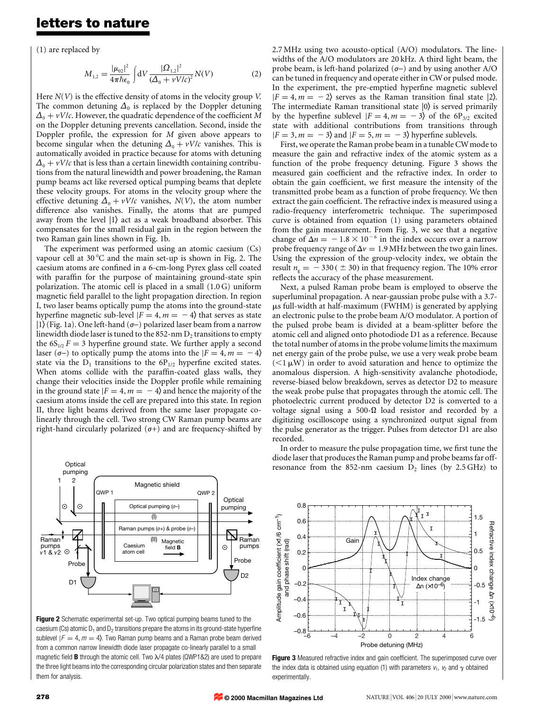### letters to nature

(1) are replaced by

$$
M_{1,2} = \frac{|\mu_{02}|^2}{4\pi\hbar\epsilon_0} \int dV \frac{|\Omega_{1,2}|^2}{(\Delta_0 + vV/c)^2} N(V)
$$
 (2)

Here  $N(V)$  is the effective density of atoms in the velocity group V. The common detuning  $\Delta_0$  is replaced by the Doppler detuning  $\Delta_0 + vV/c$ . However, the quadratic dependence of the coefficient M on the Doppler detuning prevents cancellation. Second, inside the Doppler profile, the expression for  $M$  given above appears to become singular when the detuning  $\Delta_0 + vV/c$  vanishes. This is automatically avoided in practice because for atoms with detuning  $\Delta_0 + vV/c$  that is less than a certain linewidth containing contributions from the natural linewidth and power broadening, the Raman pump beams act like reversed optical pumping beams that deplete these velocity groups. For atoms in the velocity group where the effective detuning  $\Delta_0 + vV/c$  vanishes,  $N(V)$ , the atom number difference also vanishes. Finally, the atoms that are pumped away from the level  $|1\rangle$  act as a weak broadband absorber. This compensates for the small residual gain in the region between the two Raman gain lines shown in Fig. 1b.

The experiment was performed using an atomic caesium (Cs) vapour cell at  $30^{\circ}$ C and the main set-up is shown in Fig. 2. The caesium atoms are confined in a 6-cm-long Pyrex glass cell coated with paraffin for the purpose of maintaining ground-state spin polarization. The atomic cell is placed in a small (1.0 G) uniform magnetic field parallel to the light propagation direction. In region I, two laser beams optically pump the atoms into the ground-state hyperfine magnetic sub-level  $|F = 4, m = -4\rangle$  that serves as state  $|1\rangle$  (Fig. 1a). One left-hand ( $\sigma$ -) polarized laser beam from a narrow linewidth diode laser is tuned to the  $852$ -nm  $D<sub>2</sub>$  transitions to empty the  $6S_{1/2}F = 3$  hyperfine ground state. We further apply a second laser ( $\sigma$ -) to optically pump the atoms into the  $|F = 4, m = -4\rangle$ state via the  $D_1$  transitions to the  $6P_{1/2}$  hyperfine excited states. When atoms collide with the paraffin-coated glass walls, they change their velocities inside the Doppler profile while remaining in the ground state  $|F = 4, m = -4\rangle$  and hence the majority of the caesium atoms inside the cell are prepared into this state. In region II, three light beams derived from the same laser propagate colinearly through the cell. Two strong CW Raman pump beams are right-hand circularly polarized  $(\sigma+)$  and are frequency-shifted by



Figure 2 Schematic experimental set-up. Two optical pumping beams tuned to the caesium (Cs) atomic  $D_1$  and  $D_2$  transitions prepare the atoms in its ground-state hyperfine sublevel  $|F = 4, m = 4\rangle$ . Two Raman pump beams and a Raman probe beam derived from a common narrow linewidth diode laser propagate co-linearly parallel to a small magnetic field **B** through the atomic cell. Two  $\lambda$ /4 plates (QWP1&2) are used to prepare the three light beams into the corresponding circular polarization states and then separate them for analysis.

2.7 MHz using two acousto-optical (A/O) modulators. The linewidths of the A/O modulators are 20 kHz. A third light beam, the probe beam, is left-hand polarized  $(\sigma-)$  and by using another A/O can be tuned in frequency and operate either in CWor pulsed mode. In the experiment, the pre-emptied hyperfine magnetic sublevel  $|F = 4, m = -2$  serves as the Raman transition final state (2). The intermediate Raman transitional state  $|0\rangle$  is served primarily by the hyperfine sublevel  $|F = 4, m = -3\rangle$  of the 6P<sub>3/2</sub> excited state with additional contributions from transitions through  $|F = 3, m = -3\rangle$  and  $|F = 5, m = -3\rangle$  hyperfine sublevels.

First, we operate the Raman probe beam in a tunable CWmode to measure the gain and refractive index of the atomic system as a function of the probe frequency detuning. Figure 3 shows the measured gain coefficient and the refractive index. In order to obtain the gain coefficient, we first measure the intensity of the transmitted probe beam as a function of probe frequency. We then extract the gain coefficient. The refractive index is measured using a radio-frequency interferometric technique. The superimposed curve is obtained from equation (1) using parameters obtained from the gain measurement. From Fig. 3, we see that a negative change of  $\Delta n = -1.8 \times 10^{-6}$  in the index occurs over a narrow probe frequency range of  $\Delta v = 1.9$  MHz between the two gain lines. Using the expression of the group-velocity index, we obtain the result  $n<sub>g</sub> = -330$  ( $\pm$  30) in that frequency region. The 10% error reflects the accuracy of the phase measurement.

Next, a pulsed Raman probe beam is employed to observe the superluminal propagation. A near-gaussian probe pulse with a 3.7-  $\mu$ s full-width at half-maximum (FWHM) is generated by applying an electronic pulse to the probe beam A/O modulator. A portion of the pulsed probe beam is divided at a beam-splitter before the atomic cell and aligned onto photodiode D1 as a reference. Because the total number of atoms in the probe volume limits the maximum net energy gain of the probe pulse, we use a very weak probe beam  $(<1 \mu W)$  in order to avoid saturation and hence to optimize the anomalous dispersion. A high-sensitivity avalanche photodiode, reverse-biased below breakdown, serves as detector D2 to measure the weak probe pulse that propagates through the atomic cell. The photoelectric current produced by detector D2 is converted to a voltage signal using a 500- $\Omega$  load resistor and recorded by a digitizing oscilloscope using a synchronized output signal from the pulse generator as the trigger. Pulses from detector D1 are also recorded.

In order to measure the pulse propagation time, we first tune the diode laser that produces the Raman pump and probe beams far offresonance from the 852-nm caesium  $D_2$  lines (by 2.5 GHz) to



Figure 3 Measured refractive index and gain coefficient. The superimposed curve over the index data is obtained using equation (1) with parameters  $v_1$ ,  $v_2$  and  $\gamma$  obtained experimentally.